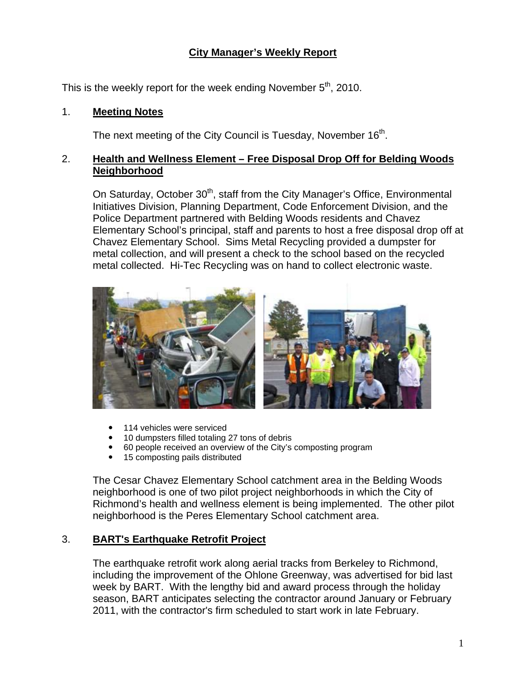# **City Manager's Weekly Report**

This is the weekly report for the week ending November  $5<sup>th</sup>$ , 2010.

#### 1. **Meeting Notes**

The next meeting of the City Council is Tuesday, November  $16<sup>th</sup>$ .

## 2. **Health and Wellness Element – Free Disposal Drop Off for Belding Woods Neighborhood**

On Saturday, October 30<sup>th</sup>, staff from the City Manager's Office, Environmental Initiatives Division, Planning Department, Code Enforcement Division, and the Police Department partnered with Belding Woods residents and Chavez Elementary School's principal, staff and parents to host a free disposal drop off at Chavez Elementary School. Sims Metal Recycling provided a dumpster for metal collection, and will present a check to the school based on the recycled metal collected. Hi-Tec Recycling was on hand to collect electronic waste.



- 114 vehicles were serviced
- 10 dumpsters filled totaling 27 tons of debris
- 60 people received an overview of the City's composting program
- 15 composting pails distributed

The Cesar Chavez Elementary School catchment area in the Belding Woods neighborhood is one of two pilot project neighborhoods in which the City of Richmond's health and wellness element is being implemented. The other pilot neighborhood is the Peres Elementary School catchment area.

### 3. **BART's Earthquake Retrofit Project**

The earthquake retrofit work along aerial tracks from Berkeley to Richmond, including the improvement of the Ohlone Greenway, was advertised for bid last week by BART. With the lengthy bid and award process through the holiday season, BART anticipates selecting the contractor around January or February 2011, with the contractor's firm scheduled to start work in late February.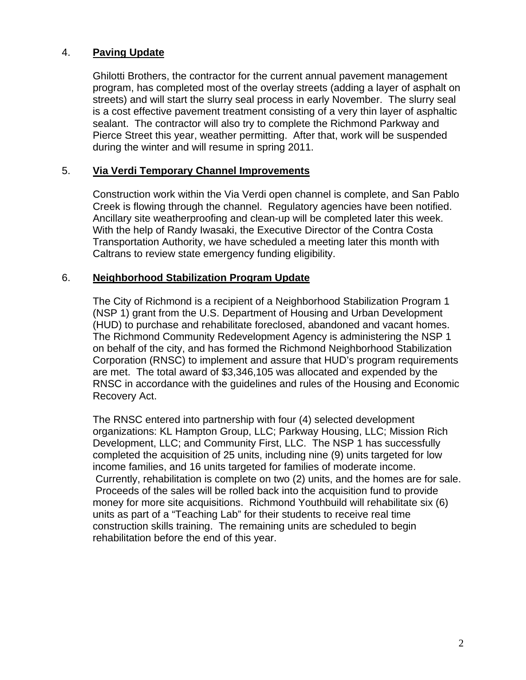## 4. **Paving Update**

Ghilotti Brothers, the contractor for the current annual pavement management program, has completed most of the overlay streets (adding a layer of asphalt on streets) and will start the slurry seal process in early November. The slurry seal is a cost effective pavement treatment consisting of a very thin layer of asphaltic sealant. The contractor will also try to complete the Richmond Parkway and Pierce Street this year, weather permitting. After that, work will be suspended during the winter and will resume in spring 2011.

### 5. **Via Verdi Temporary Channel Improvements**

Construction work within the Via Verdi open channel is complete, and San Pablo Creek is flowing through the channel. Regulatory agencies have been notified. Ancillary site weatherproofing and clean-up will be completed later this week. With the help of Randy Iwasaki, the Executive Director of the Contra Costa Transportation Authority, we have scheduled a meeting later this month with Caltrans to review state emergency funding eligibility.

#### 6. **Neighborhood Stabilization Program Update**

The City of Richmond is a recipient of a Neighborhood Stabilization Program 1 (NSP 1) grant from the U.S. Department of Housing and Urban Development (HUD) to purchase and rehabilitate foreclosed, abandoned and vacant homes. The Richmond Community Redevelopment Agency is administering the NSP 1 on behalf of the city, and has formed the Richmond Neighborhood Stabilization Corporation (RNSC) to implement and assure that HUD's program requirements are met. The total award of \$3,346,105 was allocated and expended by the RNSC in accordance with the guidelines and rules of the Housing and Economic Recovery Act.

The RNSC entered into partnership with four (4) selected development organizations: KL Hampton Group, LLC; Parkway Housing, LLC; Mission Rich Development, LLC; and Community First, LLC. The NSP 1 has successfully completed the acquisition of 25 units, including nine (9) units targeted for low income families, and 16 units targeted for families of moderate income. Currently, rehabilitation is complete on two (2) units, and the homes are for sale. Proceeds of the sales will be rolled back into the acquisition fund to provide money for more site acquisitions. Richmond Youthbuild will rehabilitate six (6) units as part of a "Teaching Lab" for their students to receive real time construction skills training. The remaining units are scheduled to begin rehabilitation before the end of this year.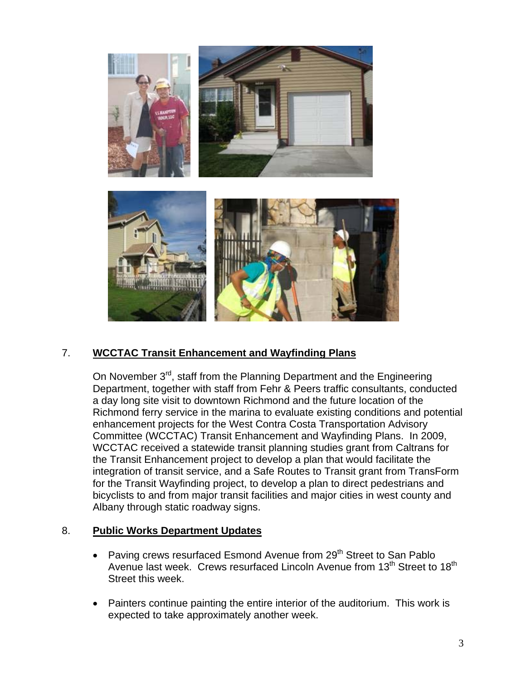

# 7. **WCCTAC Transit Enhancement and Wayfinding Plans**

On November 3<sup>rd</sup>, staff from the Planning Department and the Engineering Department, together with staff from Fehr & Peers traffic consultants, conducted a day long site visit to downtown Richmond and the future location of the Richmond ferry service in the marina to evaluate existing conditions and potential enhancement projects for the West Contra Costa Transportation Advisory Committee (WCCTAC) Transit Enhancement and Wayfinding Plans. In 2009, WCCTAC received a statewide transit planning studies grant from Caltrans for the Transit Enhancement project to develop a plan that would facilitate the integration of transit service, and a Safe Routes to Transit grant from TransForm for the Transit Wayfinding project, to develop a plan to direct pedestrians and bicyclists to and from major transit facilities and major cities in west county and Albany through static roadway signs.

### 8. **Public Works Department Updates**

- Paving crews resurfaced Esmond Avenue from 29<sup>th</sup> Street to San Pablo Avenue last week. Crews resurfaced Lincoln Avenue from 13<sup>th</sup> Street to 18<sup>th</sup> Street this week.
- Painters continue painting the entire interior of the auditorium. This work is expected to take approximately another week.